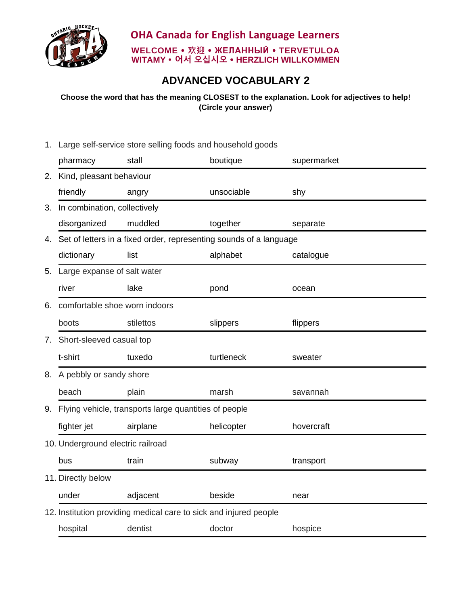

## **ADVANCED VOCABULARY 2**

**Choose the word that has the meaning CLOSEST to the explanation. Look for adjectives to help! (Circle your answer)**

1. Large self-service store selling foods and household goods pharmacy stall boutique supermarket 2. Kind, pleasant behaviour friendly angry unsociable shy 3. In combination, collectively disorganized muddled together separate 4. Set of letters in a fixed order, representing sounds of a language dictionary list alphabet catalogue 5. Large expanse of salt water river and lake pond ocean 6. comfortable shoe worn indoors boots stilettos slippers flippers 7. Short-sleeved casual top t-shirt tuxedo turtleneck sweater 8. A pebbly or sandy shore beach plain marsh savannah 9. Flying vehicle, transports large quantities of people fighter jet airplane helicopter hovercraft 10. Underground electric railroad bus train subway transport 11. Directly below under adjacent beside near 12. Institution providing medical care to sick and injured people hospital dentist doctor hospice